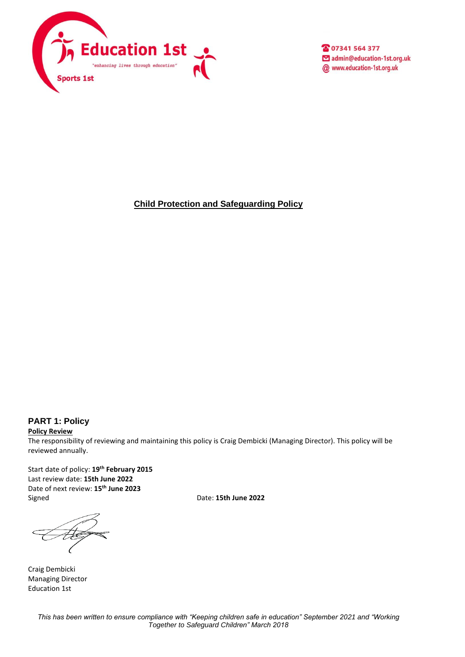

2 07341 564 377 admin@education-1st.org.uk @ www.education-1st.org.uk

**Child Protection and Safeguarding Policy**

#### **PART 1: Policy**

**Policy Review** The responsibility of reviewing and maintaining this policy is Craig Dembicki (Managing Director). This policy will be reviewed annually.

Start date of policy: **19th February 2015** Last review date: **15th June 2022** Date of next review: **15th June 2023** Signed Date: **15th June 2022**

Craig Dembicki Managing Director Education 1st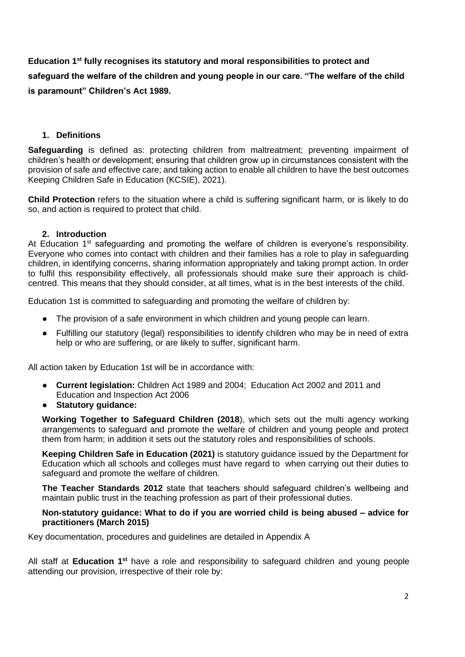**Education 1st fully recognises its statutory and moral responsibilities to protect and safeguard the welfare of the children and young people in our care. "The welfare of the child is paramount" Children's Act 1989.**

## **1. Definitions**

**Safeguarding** is defined as: protecting children from maltreatment; preventing impairment of children's health or development; ensuring that children grow up in circumstances consistent with the provision of safe and effective care; and taking action to enable all children to have the best outcomes Keeping Children Safe in Education (KCSIE), 2021).

**Child Protection** refers to the situation where a child is suffering significant harm, or is likely to do so, and action is required to protect that child.

## **2. Introduction**

At Education  $1<sup>st</sup>$  safeguarding and promoting the welfare of children is everyone's responsibility. Everyone who comes into contact with children and their families has a role to play in safeguarding children, in identifying concerns, sharing information appropriately and taking prompt action. In order to fulfil this responsibility effectively, all professionals should make sure their approach is childcentred. This means that they should consider, at all times, what is in the best interests of the child.

Education 1st is committed to safeguarding and promoting the welfare of children by:

- The provision of a safe environment in which children and young people can learn.
- Fulfilling our statutory (legal) responsibilities to identify children who may be in need of extra help or who are suffering, or are likely to suffer, significant harm.

All action taken by Education 1st will be in accordance with:

- **Current legislation:** Children Act 1989 and 2004; Education Act 2002 and 2011 and Education and Inspection Act 2006
- **Statutory guidance:**

**Working Together to Safeguard Children (2018**), which sets out the multi agency working arrangements to safeguard and promote the welfare of children and young people and protect them from harm; in addition it sets out the statutory roles and responsibilities of schools.

**Keeping Children Safe in Education (2021)** is statutory guidance issued by the Department for Education which all schools and colleges must have regard to when carrying out their duties to safeguard and promote the welfare of children.

**The Teacher Standards 2012** state that teachers should safeguard children's wellbeing and maintain public trust in the teaching profession as part of their professional duties.

#### **Non-statutory guidance: What to do if you are worried child is being abused – advice for practitioners (March 2015)**

Key documentation, procedures and guidelines are detailed in Appendix A

All staff at **Education 1st** have a role and responsibility to safeguard children and young people attending our provision, irrespective of their role by: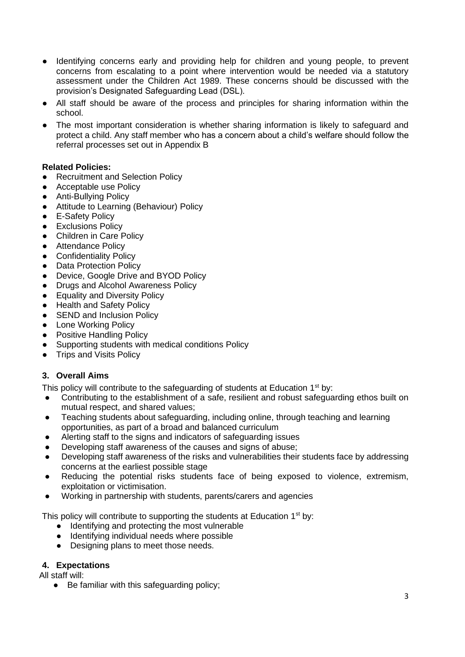- Identifying concerns early and providing help for children and young people, to prevent concerns from escalating to a point where intervention would be needed via a statutory assessment under the Children Act 1989. These concerns should be discussed with the provision's Designated Safeguarding Lead (DSL).
- All staff should be aware of the process and principles for sharing information within the school.
- The most important consideration is whether sharing information is likely to safeguard and protect a child. Any staff member who has a concern about a child's welfare should follow the referral processes set out in Appendix B

## **Related Policies:**

- Recruitment and Selection Policy
- Acceptable use Policy
- Anti-Bullying Policy
- Attitude to Learning (Behaviour) Policy
- E-Safety Policy
- Exclusions Policy
- Children in Care Policy
- Attendance Policy
- Confidentiality Policy
- Data Protection Policy
- Device, Google Drive and BYOD Policy
- Drugs and Alcohol Awareness Policy
- Equality and Diversity Policy
- Health and Safety Policy
- SEND and Inclusion Policy
- Lone Working Policy
- Positive Handling Policy
- Supporting students with medical conditions Policy
- Trips and Visits Policy

## **3. Overall Aims**

This policy will contribute to the safeguarding of students at Education  $1<sup>st</sup>$  by:

- Contributing to the establishment of a safe, resilient and robust safeguarding ethos built on mutual respect, and shared values;
- Teaching students about safeguarding, including online, through teaching and learning opportunities, as part of a broad and balanced curriculum
- Alerting staff to the signs and indicators of safeguarding issues
- Developing staff awareness of the causes and signs of abuse;
- Developing staff awareness of the risks and vulnerabilities their students face by addressing concerns at the earliest possible stage
- Reducing the potential risks students face of being exposed to violence, extremism, exploitation or victimisation.
- Working in partnership with students, parents/carers and agencies

This policy will contribute to supporting the students at Education 1<sup>st</sup> by:

- Identifying and protecting the most vulnerable
- Identifying individual needs where possible
- Designing plans to meet those needs.

#### **4. Expectations**

All staff will:

● Be familiar with this safeguarding policy: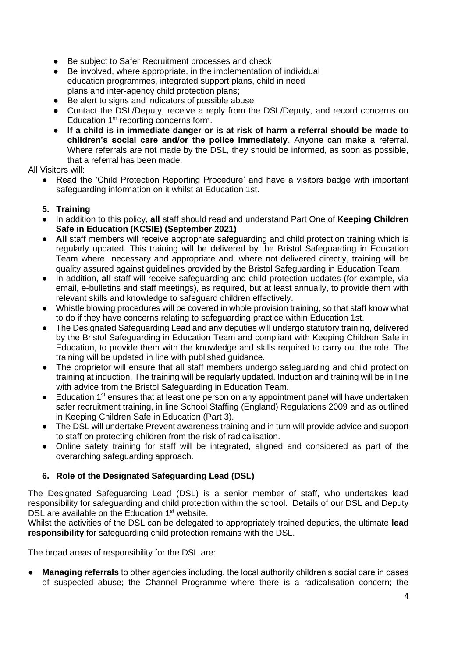- Be subject to Safer Recruitment processes and check
- Be involved, where appropriate, in the implementation of individual education programmes, integrated support plans, child in need plans and inter-agency child protection plans;
- Be alert to signs and indicators of possible abuse
- Contact the DSL/Deputy, receive a reply from the DSL/Deputy, and record concerns on Education 1st reporting concerns form.
- **If a child is in immediate danger or is at risk of harm a referral should be made to children's social care and/or the police immediately**. Anyone can make a referral. Where referrals are not made by the DSL, they should be informed, as soon as possible, that a referral has been made.

#### All Visitors will:

● Read the 'Child Protection Reporting Procedure' and have a visitors badge with important safeguarding information on it whilst at Education 1st.

#### **5. Training**

- In addition to this policy, **all** staff should read and understand Part One of **Keeping Children Safe in Education (KCSIE) (September 2021)**
- **All** staff members will receive appropriate safeguarding and child protection training which is regularly updated. This training will be delivered by the Bristol Safeguarding in Education Team where necessary and appropriate and, where not delivered directly, training will be quality assured against guidelines provided by the Bristol Safeguarding in Education Team.
- In addition, **all** staff will receive safeguarding and child protection updates (for example, via email, e-bulletins and staff meetings), as required, but at least annually, to provide them with relevant skills and knowledge to safeguard children effectively.
- Whistle blowing procedures will be covered in whole provision training, so that staff know what to do if they have concerns relating to safeguarding practice within Education 1st.
- The Designated Safeguarding Lead and any deputies will undergo statutory training, delivered by the Bristol Safeguarding in Education Team and compliant with Keeping Children Safe in Education, to provide them with the knowledge and skills required to carry out the role. The training will be updated in line with published guidance.
- The proprietor will ensure that all staff members undergo safeguarding and child protection training at induction. The training will be regularly updated. Induction and training will be in line with advice from the Bristol Safeguarding in Education Team.
- Education 1<sup>st</sup> ensures that at least one person on any appointment panel will have undertaken safer recruitment training, in line School Staffing (England) Regulations 2009 and as outlined in Keeping Children Safe in Education (Part 3).
- The DSL will undertake Prevent awareness training and in turn will provide advice and support to staff on protecting children from the risk of radicalisation.
- Online safety training for staff will be integrated, aligned and considered as part of the overarching safeguarding approach.

#### **6. Role of the Designated Safeguarding Lead (DSL)**

The Designated Safeguarding Lead (DSL) is a senior member of staff, who undertakes lead responsibility for safeguarding and child protection within the school. Details of our DSL and Deputy DSL are available on the Education 1<sup>st</sup> website.

Whilst the activities of the DSL can be delegated to appropriately trained deputies, the ultimate **lead responsibility** for safeguarding child protection remains with the DSL.

The broad areas of responsibility for the DSL are:

**Managing referrals** to other agencies including, the local authority children's social care in cases of suspected abuse; the Channel Programme where there is a radicalisation concern; the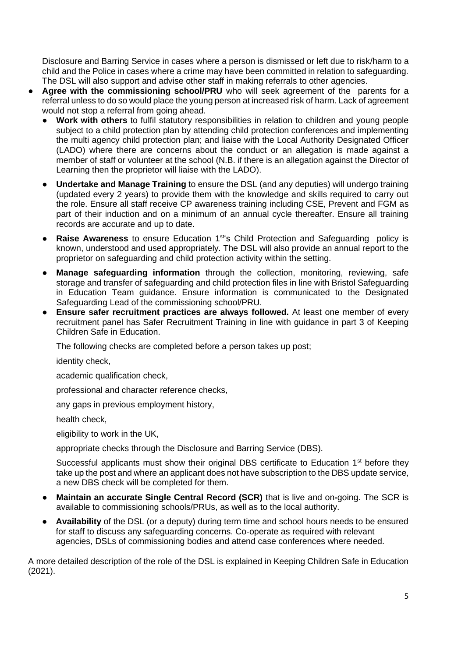Disclosure and Barring Service in cases where a person is dismissed or left due to risk/harm to a child and the Police in cases where a crime may have been committed in relation to safeguarding. The DSL will also support and advise other staff in making referrals to other agencies.

- Agree with the commissioning school/PRU who will seek agreement of the parents for a referral unless to do so would place the young person at increased risk of harm. Lack of agreement would not stop a referral from going ahead.
	- **Work with others** to fulfil statutory responsibilities in relation to children and young people subject to a child protection plan by attending child protection conferences and implementing the multi agency child protection plan; and liaise with the Local Authority Designated Officer (LADO) where there are concerns about the conduct or an allegation is made against a member of staff or volunteer at the school (N.B. if there is an allegation against the Director of Learning then the proprietor will liaise with the LADO).
	- **Undertake and Manage Training** to ensure the DSL (and any deputies) will undergo training (updated every 2 years) to provide them with the knowledge and skills required to carry out the role. Ensure all staff receive CP awareness training including CSE, Prevent and FGM as part of their induction and on a minimum of an annual cycle thereafter. Ensure all training records are accurate and up to date.
	- **Raise Awareness** to ensure Education 1<sup>st'</sup>s Child Protection and Safeguarding policy is known, understood and used appropriately. The DSL will also provide an annual report to the proprietor on safeguarding and child protection activity within the setting.
	- **Manage safeguarding information** through the collection, monitoring, reviewing, safe storage and transfer of safeguarding and child protection files in line with Bristol Safeguarding in Education Team guidance. Ensure information is communicated to the Designated Safeguarding Lead of the commissioning school/PRU.
	- **Ensure safer recruitment practices are always followed.** At least one member of every recruitment panel has Safer Recruitment Training in line with guidance in part 3 of Keeping Children Safe in Education.

The following checks are completed before a person takes up post;

identity check,

academic qualification check,

professional and character reference checks,

any gaps in previous employment history,

health check,

eligibility to work in the UK,

appropriate checks through the Disclosure and Barring Service (DBS).

Successful applicants must show their original DBS certificate to Education 1<sup>st</sup> before they take up the post and where an applicant does not have subscription to the DBS update service, a new DBS check will be completed for them.

- **Maintain an accurate Single Central Record (SCR)** that is live and on**-**going. The SCR is available to commissioning schools/PRUs, as well as to the local authority.
- **Availability** of the DSL (or a deputy) during term time and school hours needs to be ensured for staff to discuss any safeguarding concerns. Co-operate as required with relevant agencies, DSLs of commissioning bodies and attend case conferences where needed.

A more detailed description of the role of the DSL is explained in Keeping Children Safe in Education (2021).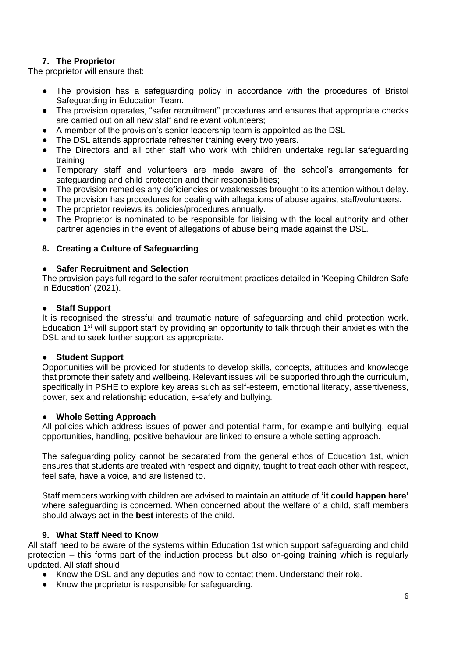## **7. The Proprietor**

The proprietor will ensure that:

- The provision has a safeguarding policy in accordance with the procedures of Bristol Safeguarding in Education Team.
- The provision operates, "safer recruitment" procedures and ensures that appropriate checks are carried out on all new staff and relevant volunteers;
- A member of the provision's senior leadership team is appointed as the DSL
- The DSL attends appropriate refresher training every two years.
- The Directors and all other staff who work with children undertake regular safeguarding training
- Temporary staff and volunteers are made aware of the school's arrangements for safeguarding and child protection and their responsibilities;
- The provision remedies any deficiencies or weaknesses brought to its attention without delay.
- The provision has procedures for dealing with allegations of abuse against staff/volunteers.
- The proprietor reviews its policies/procedures annually.
- The Proprietor is nominated to be responsible for liaising with the local authority and other partner agencies in the event of allegations of abuse being made against the DSL.

## **8. Creating a Culture of Safeguarding**

#### **Safer Recruitment and Selection**

The provision pays full regard to the safer recruitment practices detailed in 'Keeping Children Safe in Education' (2021).

#### **Staff Support**

It is recognised the stressful and traumatic nature of safeguarding and child protection work. Education  $1<sup>st</sup>$  will support staff by providing an opportunity to talk through their anxieties with the DSL and to seek further support as appropriate.

#### **Student Support**

Opportunities will be provided for students to develop skills, concepts, attitudes and knowledge that promote their safety and wellbeing. Relevant issues will be supported through the curriculum, specifically in PSHE to explore key areas such as self-esteem, emotional literacy, assertiveness, power, sex and relationship education, e-safety and bullying.

#### ● **Whole Setting Approach**

All policies which address issues of power and potential harm, for example anti bullying, equal opportunities, handling, positive behaviour are linked to ensure a whole setting approach.

The safeguarding policy cannot be separated from the general ethos of Education 1st, which ensures that students are treated with respect and dignity, taught to treat each other with respect, feel safe, have a voice, and are listened to.

Staff members working with children are advised to maintain an attitude of **'it could happen here'**  where safeguarding is concerned. When concerned about the welfare of a child, staff members should always act in the **best** interests of the child.

#### **9. What Staff Need to Know**

All staff need to be aware of the systems within Education 1st which support safeguarding and child protection – this forms part of the induction process but also on-going training which is regularly updated. All staff should:

- Know the DSL and any deputies and how to contact them. Understand their role.
- Know the proprietor is responsible for safeguarding.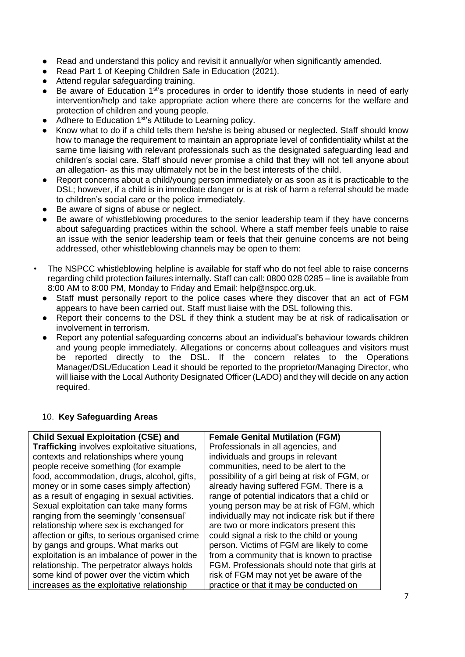- Read and understand this policy and revisit it annually/or when significantly amended.
- Read Part 1 of Keeping Children Safe in Education (2021).
- Attend regular safeguarding training.
- $\bullet$  Be aware of Education 1<sup>st'</sup>s procedures in order to identify those students in need of early intervention/help and take appropriate action where there are concerns for the welfare and protection of children and young people.
- Adhere to Education 1<sup>st'</sup>s Attitude to Learning policy.
- Know what to do if a child tells them he/she is being abused or neglected. Staff should know how to manage the requirement to maintain an appropriate level of confidentiality whilst at the same time liaising with relevant professionals such as the designated safeguarding lead and children's social care. Staff should never promise a child that they will not tell anyone about an allegation- as this may ultimately not be in the best interests of the child.
- Report concerns about a child/young person immediately or as soon as it is practicable to the DSL; however, if a child is in immediate danger or is at risk of harm a referral should be made to children's social care or the police immediately.
- Be aware of signs of abuse or neglect.
- Be aware of whistleblowing procedures to the senior leadership team if they have concerns about safeguarding practices within the school. Where a staff member feels unable to raise an issue with the senior leadership team or feels that their genuine concerns are not being addressed, other whistleblowing channels may be open to them:
- The NSPCC whistleblowing helpline is available for staff who do not feel able to raise concerns regarding child protection failures internally. Staff can call: 0800 028 0285 – line is available from 8:00 AM to 8:00 PM, Monday to Friday and Email: help@nspcc.org.uk.
	- Staff **must** personally report to the police cases where they discover that an act of FGM appears to have been carried out. Staff must liaise with the DSL following this.
	- Report their concerns to the DSL if they think a student may be at risk of radicalisation or involvement in terrorism.
	- Report any potential safeguarding concerns about an individual's behaviour towards children and young people immediately. Allegations or concerns about colleagues and visitors must be reported directly to the DSL. If the concern relates to the Operations Manager/DSL/Education Lead it should be reported to the proprietor/Managing Director, who will liaise with the Local Authority Designated Officer (LADO) and they will decide on any action required.

## 10. **Key Safeguarding Areas**

| <b>Child Sexual Exploitation (CSE) and</b>     | <b>Female Genital Mutilation (FGM)</b>          |
|------------------------------------------------|-------------------------------------------------|
| Trafficking involves exploitative situations,  | Professionals in all agencies, and              |
| contexts and relationships where young         | individuals and groups in relevant              |
| people receive something (for example          | communities, need to be alert to the            |
| food, accommodation, drugs, alcohol, gifts,    | possibility of a girl being at risk of FGM, or  |
| money or in some cases simply affection)       | already having suffered FGM. There is a         |
| as a result of engaging in sexual activities.  | range of potential indicators that a child or   |
| Sexual exploitation can take many forms        | young person may be at risk of FGM, which       |
| ranging from the seemingly 'consensual'        | individually may not indicate risk but if there |
| relationship where sex is exchanged for        | are two or more indicators present this         |
| affection or gifts, to serious organised crime | could signal a risk to the child or young       |
| by gangs and groups. What marks out            | person. Victims of FGM are likely to come       |
| exploitation is an imbalance of power in the   | from a community that is known to practise      |
| relationship. The perpetrator always holds     | FGM. Professionals should note that girls at    |
| some kind of power over the victim which       | risk of FGM may not yet be aware of the         |
| increases as the exploitative relationship     | practice or that it may be conducted on         |
|                                                |                                                 |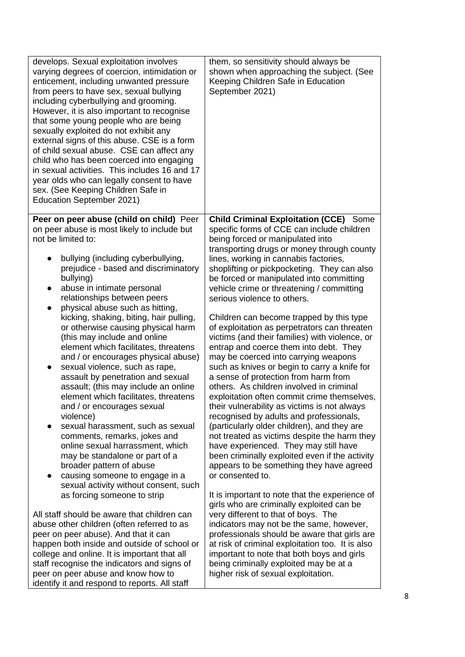| develops. Sexual exploitation involves<br>varying degrees of coercion, intimidation or<br>enticement, including unwanted pressure<br>from peers to have sex, sexual bullying<br>including cyberbullying and grooming.<br>However, it is also important to recognise<br>that some young people who are being<br>sexually exploited do not exhibit any<br>external signs of this abuse. CSE is a form<br>of child sexual abuse. CSE can affect any<br>child who has been coerced into engaging<br>in sexual activities. This includes 16 and 17<br>year olds who can legally consent to have<br>sex. (See Keeping Children Safe in<br>Education September 2021)                                                                                                                                                                                                                                                                                        | them, so sensitivity should always be<br>shown when approaching the subject. (See<br>Keeping Children Safe in Education<br>September 2021)                                                                                                                                                                                                                                                                                                                                                                                                                                                                                                                                                                                                                                                                                                                                                                                                                                                                                                                                                                               |
|------------------------------------------------------------------------------------------------------------------------------------------------------------------------------------------------------------------------------------------------------------------------------------------------------------------------------------------------------------------------------------------------------------------------------------------------------------------------------------------------------------------------------------------------------------------------------------------------------------------------------------------------------------------------------------------------------------------------------------------------------------------------------------------------------------------------------------------------------------------------------------------------------------------------------------------------------|--------------------------------------------------------------------------------------------------------------------------------------------------------------------------------------------------------------------------------------------------------------------------------------------------------------------------------------------------------------------------------------------------------------------------------------------------------------------------------------------------------------------------------------------------------------------------------------------------------------------------------------------------------------------------------------------------------------------------------------------------------------------------------------------------------------------------------------------------------------------------------------------------------------------------------------------------------------------------------------------------------------------------------------------------------------------------------------------------------------------------|
| Peer on peer abuse (child on child) Peer                                                                                                                                                                                                                                                                                                                                                                                                                                                                                                                                                                                                                                                                                                                                                                                                                                                                                                             | <b>Child Criminal Exploitation (CCE)</b> Some                                                                                                                                                                                                                                                                                                                                                                                                                                                                                                                                                                                                                                                                                                                                                                                                                                                                                                                                                                                                                                                                            |
| on peer abuse is most likely to include but                                                                                                                                                                                                                                                                                                                                                                                                                                                                                                                                                                                                                                                                                                                                                                                                                                                                                                          | specific forms of CCE can include children                                                                                                                                                                                                                                                                                                                                                                                                                                                                                                                                                                                                                                                                                                                                                                                                                                                                                                                                                                                                                                                                               |
| not be limited to:<br>bullying (including cyberbullying,<br>prejudice - based and discriminatory<br>bullying)<br>abuse in intimate personal<br>$\bullet$<br>relationships between peers<br>physical abuse such as hitting,<br>$\bullet$<br>kicking, shaking, biting, hair pulling,<br>or otherwise causing physical harm<br>(this may include and online<br>element which facilitates, threatens<br>and / or encourages physical abuse)<br>sexual violence, such as rape,<br>$\bullet$<br>assault by penetration and sexual<br>assault; (this may include an online<br>element which facilitates, threatens<br>and / or encourages sexual<br>violence)<br>sexual harassment, such as sexual<br>comments, remarks, jokes and<br>online sexual harrassment, which<br>may be standalone or part of a<br>broader pattern of abuse<br>causing someone to engage in a<br>$\bullet$<br>sexual activity without consent, such<br>as forcing someone to strip | being forced or manipulated into<br>transporting drugs or money through county<br>lines, working in cannabis factories,<br>shoplifting or pickpocketing. They can also<br>be forced or manipulated into committing<br>vehicle crime or threatening / committing<br>serious violence to others.<br>Children can become trapped by this type<br>of exploitation as perpetrators can threaten<br>victims (and their families) with violence, or<br>entrap and coerce them into debt. They<br>may be coerced into carrying weapons<br>such as knives or begin to carry a knife for<br>a sense of protection from harm from<br>others. As children involved in criminal<br>exploitation often commit crime themselves,<br>their vulnerability as victims is not always<br>recognised by adults and professionals,<br>(particularly older children), and they are<br>not treated as victims despite the harm they<br>have experienced. They may still have<br>been criminally exploited even if the activity<br>appears to be something they have agreed<br>or consented to.<br>It is important to note that the experience of |
| All staff should be aware that children can                                                                                                                                                                                                                                                                                                                                                                                                                                                                                                                                                                                                                                                                                                                                                                                                                                                                                                          | girls who are criminally exploited can be                                                                                                                                                                                                                                                                                                                                                                                                                                                                                                                                                                                                                                                                                                                                                                                                                                                                                                                                                                                                                                                                                |
| abuse other children (often referred to as                                                                                                                                                                                                                                                                                                                                                                                                                                                                                                                                                                                                                                                                                                                                                                                                                                                                                                           | very different to that of boys. The                                                                                                                                                                                                                                                                                                                                                                                                                                                                                                                                                                                                                                                                                                                                                                                                                                                                                                                                                                                                                                                                                      |
| peer on peer abuse). And that it can                                                                                                                                                                                                                                                                                                                                                                                                                                                                                                                                                                                                                                                                                                                                                                                                                                                                                                                 | indicators may not be the same, however,                                                                                                                                                                                                                                                                                                                                                                                                                                                                                                                                                                                                                                                                                                                                                                                                                                                                                                                                                                                                                                                                                 |
| happen both inside and outside of school or                                                                                                                                                                                                                                                                                                                                                                                                                                                                                                                                                                                                                                                                                                                                                                                                                                                                                                          | professionals should be aware that girls are                                                                                                                                                                                                                                                                                                                                                                                                                                                                                                                                                                                                                                                                                                                                                                                                                                                                                                                                                                                                                                                                             |
| college and online. It is important that all                                                                                                                                                                                                                                                                                                                                                                                                                                                                                                                                                                                                                                                                                                                                                                                                                                                                                                         | at risk of criminal exploitation too. It is also                                                                                                                                                                                                                                                                                                                                                                                                                                                                                                                                                                                                                                                                                                                                                                                                                                                                                                                                                                                                                                                                         |
| staff recognise the indicators and signs of                                                                                                                                                                                                                                                                                                                                                                                                                                                                                                                                                                                                                                                                                                                                                                                                                                                                                                          | important to note that both boys and girls                                                                                                                                                                                                                                                                                                                                                                                                                                                                                                                                                                                                                                                                                                                                                                                                                                                                                                                                                                                                                                                                               |
| peer on peer abuse and know how to                                                                                                                                                                                                                                                                                                                                                                                                                                                                                                                                                                                                                                                                                                                                                                                                                                                                                                                   | being criminally exploited may be at a                                                                                                                                                                                                                                                                                                                                                                                                                                                                                                                                                                                                                                                                                                                                                                                                                                                                                                                                                                                                                                                                                   |
| identify it and respond to reports. All staff                                                                                                                                                                                                                                                                                                                                                                                                                                                                                                                                                                                                                                                                                                                                                                                                                                                                                                        | higher risk of sexual exploitation.                                                                                                                                                                                                                                                                                                                                                                                                                                                                                                                                                                                                                                                                                                                                                                                                                                                                                                                                                                                                                                                                                      |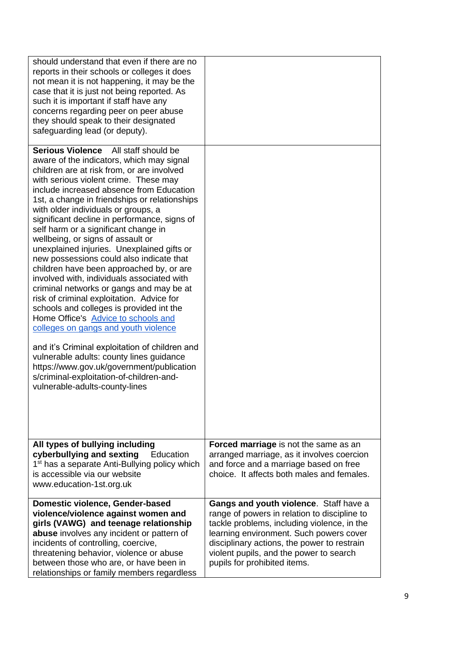| should understand that even if there are no<br>reports in their schools or colleges it does<br>not mean it is not happening, it may be the<br>case that it is just not being reported. As<br>such it is important if staff have any<br>concerns regarding peer on peer abuse<br>they should speak to their designated<br>safeguarding lead (or deputy).                                                                                                                                                                                                                                                                                                                                                                                                                                                                                                                                                                                                                                                                                                                    |                                                                                                                                                                                                                                                                                                            |
|----------------------------------------------------------------------------------------------------------------------------------------------------------------------------------------------------------------------------------------------------------------------------------------------------------------------------------------------------------------------------------------------------------------------------------------------------------------------------------------------------------------------------------------------------------------------------------------------------------------------------------------------------------------------------------------------------------------------------------------------------------------------------------------------------------------------------------------------------------------------------------------------------------------------------------------------------------------------------------------------------------------------------------------------------------------------------|------------------------------------------------------------------------------------------------------------------------------------------------------------------------------------------------------------------------------------------------------------------------------------------------------------|
| Serious Violence All staff should be<br>aware of the indicators, which may signal<br>children are at risk from, or are involved<br>with serious violent crime. These may<br>include increased absence from Education<br>1st, a change in friendships or relationships<br>with older individuals or groups, a<br>significant decline in performance, signs of<br>self harm or a significant change in<br>wellbeing, or signs of assault or<br>unexplained injuries. Unexplained gifts or<br>new possessions could also indicate that<br>children have been approached by, or are<br>involved with, individuals associated with<br>criminal networks or gangs and may be at<br>risk of criminal exploitation. Advice for<br>schools and colleges is provided int the<br>Home Office's Advice to schools and<br>colleges on gangs and youth violence<br>and it's Criminal exploitation of children and<br>vulnerable adults: county lines guidance<br>https://www.gov.uk/government/publication<br>s/criminal-exploitation-of-children-and-<br>vulnerable-adults-county-lines |                                                                                                                                                                                                                                                                                                            |
| All types of bullying including<br>cyberbullying and sexting<br>Education<br>1 <sup>st</sup> has a separate Anti-Bullying policy which<br>is accessible via our website<br>www.education-1st.org.uk                                                                                                                                                                                                                                                                                                                                                                                                                                                                                                                                                                                                                                                                                                                                                                                                                                                                        | Forced marriage is not the same as an<br>arranged marriage, as it involves coercion<br>and force and a marriage based on free<br>choice. It affects both males and females.                                                                                                                                |
| Domestic violence, Gender-based<br>violence/violence against women and<br>girls (VAWG) and teenage relationship<br>abuse involves any incident or pattern of<br>incidents of controlling, coercive,<br>threatening behavior, violence or abuse<br>between those who are, or have been in<br>relationships or family members regardless                                                                                                                                                                                                                                                                                                                                                                                                                                                                                                                                                                                                                                                                                                                                     | Gangs and youth violence. Staff have a<br>range of powers in relation to discipline to<br>tackle problems, including violence, in the<br>learning environment. Such powers cover<br>disciplinary actions, the power to restrain<br>violent pupils, and the power to search<br>pupils for prohibited items. |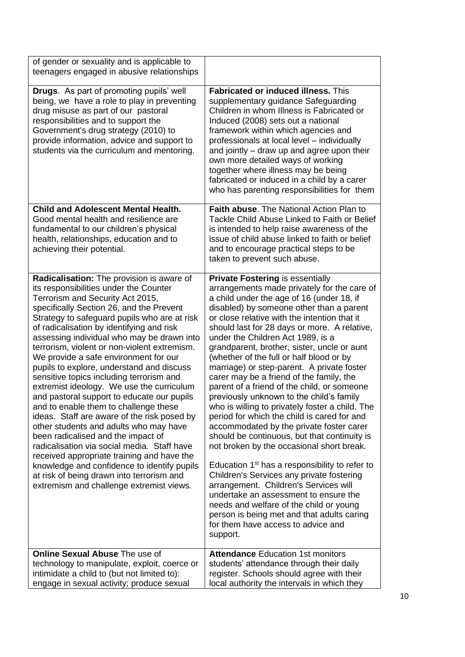| of gender or sexuality and is applicable to<br>teenagers engaged in abusive relationships                                                                                                                                                                                                                                                                                                                                                                                                                                                                                                                                                                                                                                                                                                                                                                                                                                                                                                                |                                                                                                                                                                                                                                                                                                                                                                                                                                                                                                                                                                                                                                                                                                                                                                                                                                                                                                                                                                                                                                                                                                                                                                                         |
|----------------------------------------------------------------------------------------------------------------------------------------------------------------------------------------------------------------------------------------------------------------------------------------------------------------------------------------------------------------------------------------------------------------------------------------------------------------------------------------------------------------------------------------------------------------------------------------------------------------------------------------------------------------------------------------------------------------------------------------------------------------------------------------------------------------------------------------------------------------------------------------------------------------------------------------------------------------------------------------------------------|-----------------------------------------------------------------------------------------------------------------------------------------------------------------------------------------------------------------------------------------------------------------------------------------------------------------------------------------------------------------------------------------------------------------------------------------------------------------------------------------------------------------------------------------------------------------------------------------------------------------------------------------------------------------------------------------------------------------------------------------------------------------------------------------------------------------------------------------------------------------------------------------------------------------------------------------------------------------------------------------------------------------------------------------------------------------------------------------------------------------------------------------------------------------------------------------|
| <b>Drugs.</b> As part of promoting pupils' well<br>being, we have a role to play in preventing<br>drug misuse as part of our pastoral<br>responsibilities and to support the<br>Government's drug strategy (2010) to<br>provide information, advice and support to<br>students via the curriculum and mentoring.                                                                                                                                                                                                                                                                                                                                                                                                                                                                                                                                                                                                                                                                                         | <b>Fabricated or induced illness.</b> This<br>supplementary guidance Safeguarding<br>Children in whom Illness is Fabricated or<br>Induced (2008) sets out a national<br>framework within which agencies and<br>professionals at local level - individually<br>and jointly – draw up and agree upon their<br>own more detailed ways of working<br>together where illness may be being<br>fabricated or induced in a child by a carer<br>who has parenting responsibilities for them                                                                                                                                                                                                                                                                                                                                                                                                                                                                                                                                                                                                                                                                                                      |
| <b>Child and Adolescent Mental Health.</b><br>Good mental health and resilience are<br>fundamental to our children's physical<br>health, relationships, education and to<br>achieving their potential.                                                                                                                                                                                                                                                                                                                                                                                                                                                                                                                                                                                                                                                                                                                                                                                                   | Faith abuse. The National Action Plan to<br>Tackle Child Abuse Linked to Faith or Belief<br>is intended to help raise awareness of the<br>issue of child abuse linked to faith or belief<br>and to encourage practical steps to be<br>taken to prevent such abuse.                                                                                                                                                                                                                                                                                                                                                                                                                                                                                                                                                                                                                                                                                                                                                                                                                                                                                                                      |
| Radicalisation: The provision is aware of<br>its responsibilities under the Counter<br>Terrorism and Security Act 2015,<br>specifically Section 26, and the Prevent<br>Strategy to safeguard pupils who are at risk<br>of radicalisation by identifying and risk<br>assessing individual who may be drawn into<br>terrorism, violent or non-violent extremism.<br>We provide a safe environment for our<br>pupils to explore, understand and discuss<br>sensitive topics including terrorism and<br>extremist ideology. We use the curriculum<br>and pastoral support to educate our pupils<br>and to enable them to challenge these<br>ideas. Staff are aware of the risk posed by<br>other students and adults who may have<br>been radicalised and the impact of<br>radicalisation via social media. Staff have<br>received appropriate training and have the<br>knowledge and confidence to identify pupils<br>at risk of being drawn into terrorism and<br>extremism and challenge extremist views. | <b>Private Fostering is essentially</b><br>arrangements made privately for the care of<br>a child under the age of 16 (under 18, if<br>disabled) by someone other than a parent<br>or close relative with the intention that it<br>should last for 28 days or more. A relative,<br>under the Children Act 1989, is a<br>grandparent, brother, sister, uncle or aunt<br>(whether of the full or half blood or by<br>marriage) or step-parent. A private foster<br>carer may be a friend of the family, the<br>parent of a friend of the child, or someone<br>previously unknown to the child's family<br>who is willing to privately foster a child. The<br>period for which the child is cared for and<br>accommodated by the private foster carer<br>should be continuous, but that continuity is<br>not broken by the occasional short break.<br>Education 1 <sup>st</sup> has a responsibility to refer to<br>Children's Services any private fostering<br>arrangement. Children's Services will<br>undertake an assessment to ensure the<br>needs and welfare of the child or young<br>person is being met and that adults caring<br>for them have access to advice and<br>support. |
| <b>Online Sexual Abuse The use of</b><br>technology to manipulate, exploit, coerce or<br>intimidate a child to (but not limited to):<br>engage in sexual activity; produce sexual                                                                                                                                                                                                                                                                                                                                                                                                                                                                                                                                                                                                                                                                                                                                                                                                                        | <b>Attendance Education 1st monitors</b><br>students' attendance through their daily<br>register. Schools should agree with their<br>local authority the intervals in which they                                                                                                                                                                                                                                                                                                                                                                                                                                                                                                                                                                                                                                                                                                                                                                                                                                                                                                                                                                                                        |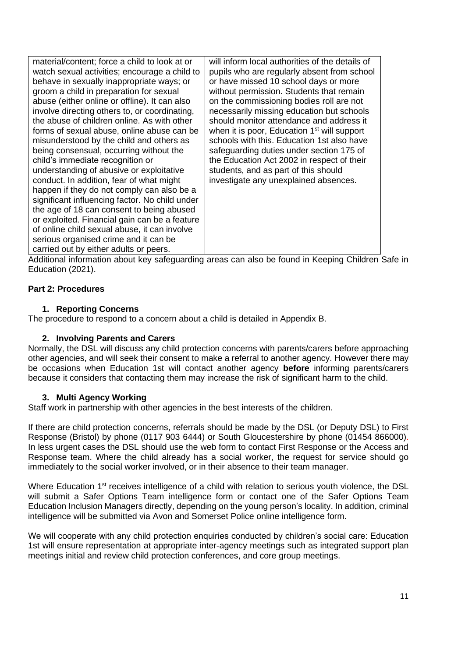| material/content; force a child to look at or  | will inform local authorities of the details of         |
|------------------------------------------------|---------------------------------------------------------|
| watch sexual activities; encourage a child to  | pupils who are regularly absent from school             |
| behave in sexually inappropriate ways; or      | or have missed 10 school days or more                   |
| groom a child in preparation for sexual        | without permission. Students that remain                |
| abuse (either online or offline). It can also  | on the commissioning bodies roll are not                |
| involve directing others to, or coordinating,  | necessarily missing education but schools               |
| the abuse of children online. As with other    | should monitor attendance and address it                |
| forms of sexual abuse, online abuse can be     | when it is poor, Education 1 <sup>st</sup> will support |
| misunderstood by the child and others as       | schools with this. Education 1st also have              |
| being consensual, occurring without the        | safeguarding duties under section 175 of                |
| child's immediate recognition or               | the Education Act 2002 in respect of their              |
| understanding of abusive or exploitative       | students, and as part of this should                    |
| conduct. In addition, fear of what might       | investigate any unexplained absences.                   |
| happen if they do not comply can also be a     |                                                         |
| significant influencing factor. No child under |                                                         |
| the age of 18 can consent to being abused      |                                                         |
| or exploited. Financial gain can be a feature  |                                                         |
| of online child sexual abuse, it can involve   |                                                         |
| serious organised crime and it can be          |                                                         |
| carried out by either adults or peers.         |                                                         |

Additional information about key safeguarding areas can also be found in Keeping Children Safe in Education (2021).

## **Part 2: Procedures**

#### **1. Reporting Concerns**

The procedure to respond to a concern about a child is detailed in Appendix B.

#### **2. Involving Parents and Carers**

Normally, the DSL will discuss any child protection concerns with parents/carers before approaching other agencies, and will seek their consent to make a referral to another agency. However there may be occasions when Education 1st will contact another agency **before** informing parents/carers because it considers that contacting them may increase the risk of significant harm to the child.

#### **3. Multi Agency Working**

Staff work in partnership with other agencies in the best interests of the children.

If there are child protection concerns, referrals should be made by the DSL (or Deputy DSL) to First Response (Bristol) by phone (0117 903 6444) or South Gloucestershire by phone (01454 866000). In less urgent cases the DSL should use the web form to contact First Response or the Access and Response team. Where the child already has a social worker, the request for service should go immediately to the social worker involved, or in their absence to their team manager.

Where Education 1<sup>st</sup> receives intelligence of a child with relation to serious youth violence, the DSL will submit a Safer Options Team intelligence form or contact one of the Safer Options Team Education Inclusion Managers directly, depending on the young person's locality. In addition, criminal intelligence will be submitted via Avon and Somerset Police online intelligence form.

We will cooperate with any child protection enquiries conducted by children's social care: Education 1st will ensure representation at appropriate inter-agency meetings such as integrated support plan meetings initial and review child protection conferences, and core group meetings.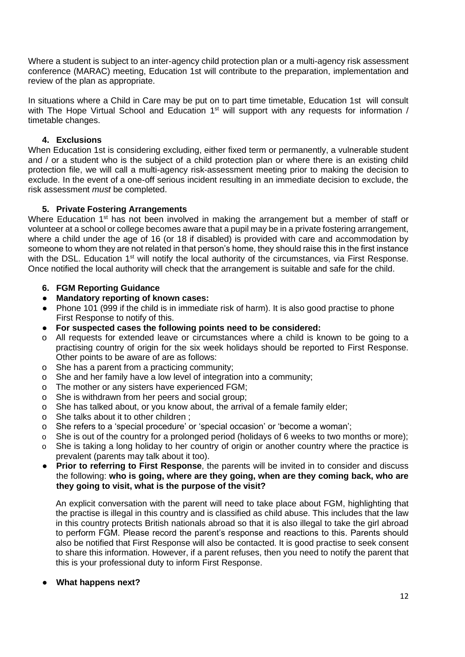Where a student is subject to an inter-agency child protection plan or a multi-agency risk assessment conference (MARAC) meeting, Education 1st will contribute to the preparation, implementation and review of the plan as appropriate.

In situations where a Child in Care may be put on to part time timetable, Education 1st will consult with The Hope Virtual School and Education 1<sup>st</sup> will support with any requests for information / timetable changes.

## **4. Exclusions**

When Education 1st is considering excluding, either fixed term or permanently, a vulnerable student and / or a student who is the subject of a child protection plan or where there is an existing child protection file, we will call a multi-agency risk-assessment meeting prior to making the decision to exclude. In the event of a one-off serious incident resulting in an immediate decision to exclude, the risk assessment *must* be completed.

## **5. Private Fostering Arrangements**

Where Education  $1<sup>st</sup>$  has not been involved in making the arrangement but a member of staff or volunteer at a school or college becomes aware that a pupil may be in a private fostering arrangement, where a child under the age of 16 (or 18 if disabled) is provided with care and accommodation by someone to whom they are not related in that person's home, they should raise this in the first instance with the DSL. Education 1<sup>st</sup> will notify the local authority of the circumstances, via First Response. Once notified the local authority will check that the arrangement is suitable and safe for the child.

- **6. FGM Reporting Guidance**
- **Mandatory reporting of known cases:**
- Phone 101 (999 if the child is in immediate risk of harm). It is also good practise to phone First Response to notify of this.
- **For suspected cases the following points need to be considered:**
- o All requests for extended leave or circumstances where a child is known to be going to a practising country of origin for the six week holidays should be reported to First Response. Other points to be aware of are as follows:
- o She has a parent from a practicing community;
- o She and her family have a low level of integration into a community;
- o The mother or any sisters have experienced FGM;
- o She is withdrawn from her peers and social group;
- o She has talked about, or you know about, the arrival of a female family elder;
- o She talks about it to other children ;
- o She refers to a 'special procedure' or 'special occasion' or 'become a woman';
- o She is out of the country for a prolonged period (holidays of 6 weeks to two months or more);
- o She is taking a long holiday to her country of origin or another country where the practice is prevalent (parents may talk about it too).
- **Prior to referring to First Response**, the parents will be invited in to consider and discuss the following: **who is going, where are they going, when are they coming back, who are they going to visit, what is the purpose of the visit?**

An explicit conversation with the parent will need to take place about FGM, highlighting that the practise is illegal in this country and is classified as child abuse. This includes that the law in this country protects British nationals abroad so that it is also illegal to take the girl abroad to perform FGM. Please record the parent's response and reactions to this. Parents should also be notified that First Response will also be contacted. It is good practise to seek consent to share this information. However, if a parent refuses, then you need to notify the parent that this is your professional duty to inform First Response.

#### ● **What happens next?**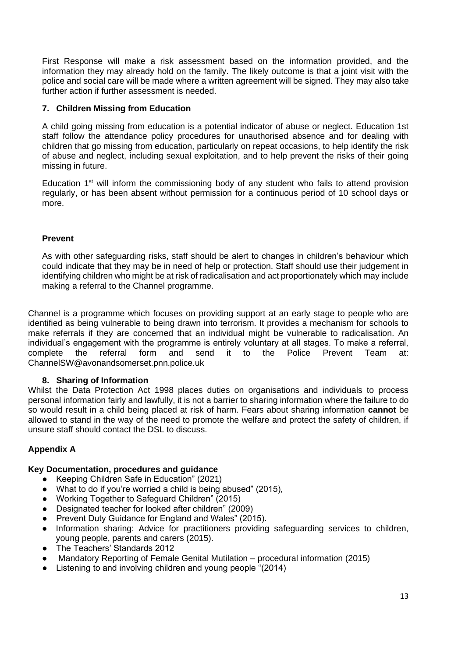First Response will make a risk assessment based on the information provided, and the information they may already hold on the family. The likely outcome is that a joint visit with the police and social care will be made where a written agreement will be signed. They may also take further action if further assessment is needed.

## **7. Children Missing from Education**

A child going missing from education is a potential indicator of abuse or neglect. Education 1st staff follow the attendance policy procedures for unauthorised absence and for dealing with children that go missing from education, particularly on repeat occasions, to help identify the risk of abuse and neglect, including sexual exploitation, and to help prevent the risks of their going missing in future.

Education  $1<sup>st</sup>$  will inform the commissioning body of any student who fails to attend provision regularly, or has been absent without permission for a continuous period of 10 school days or more.

## **Prevent**

As with other safeguarding risks, staff should be alert to changes in children's behaviour which could indicate that they may be in need of help or protection. Staff should use their judgement in identifying children who might be at risk of radicalisation and act proportionately which may include making a referral to the Channel programme.

Channel is a programme which focuses on providing support at an early stage to people who are identified as being vulnerable to being drawn into terrorism. It provides a mechanism for schools to make referrals if they are concerned that an individual might be vulnerable to radicalisation. An individual's engagement with the programme is entirely voluntary at all stages. To make a referral, complete the referral form and send it to the Police Prevent Team at: [ChannelSW@avonandsomerset.pnn.police.uk](mailto:ChannelSW@avonandsomerset.pnn.police.uk)

## **8. Sharing of Information**

Whilst the Data Protection Act 1998 places duties on organisations and individuals to process personal information fairly and lawfully, it is not a barrier to sharing information where the failure to do so would result in a child being placed at risk of harm. Fears about sharing information **cannot** be allowed to stand in the way of the need to promote the welfare and protect the safety of children, if unsure staff should contact the DSL to discuss.

## **Appendix A**

## **Key Documentation, procedures and guidance**

- Keeping Children Safe in Education" (2021)
- What to do if you're worried a child is being abused" (2015),
- Working Together to Safeguard Children" (2015)
- Designated teacher for looked after children" (2009)
- Prevent Duty Guidance for England and Wales" (2015).
- Information sharing: Advice for practitioners providing safeguarding services to children, young people, parents and carers (2015).
- The Teachers' Standards 2012
- Mandatory Reporting of Female Genital Mutilation procedural information (2015)
- Listening to and involving children and young people "(2014)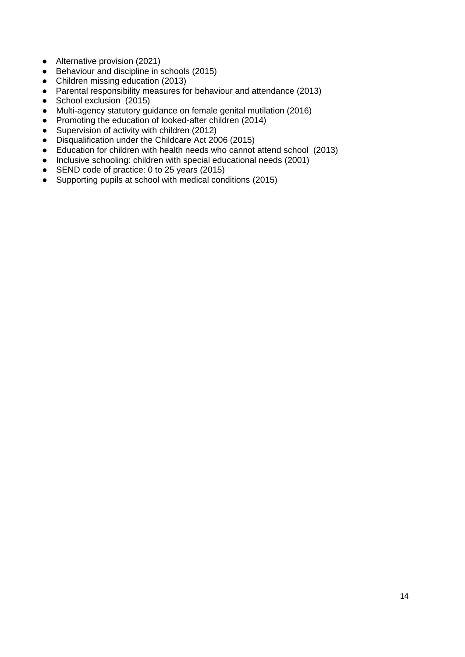- Alternative provision (2021)
- [Behaviour and disci](https://www.gov.uk/government/publications/alternative-provision)[pline in schools](https://www.gov.uk/government/publications/behaviour-and-discipline-in-schools-guidance-for-governing-bodies) (2015)
- [Children missing education](https://www.gov.uk/government/publications/children-missing-education) (2013)
- [Parental responsibility measures for behaviour and attendance](https://www.gov.uk/government/publications/parental-responsibility-measures-for-behaviour-and-attendance) (2013)
- [School exclusion](https://www.gov.uk/government/publications/school-exclusion) (2015)
- Multi-agency statutory guidance on female genital mutilation (2016)
- Promoting the education of looked-after children (2014)
- Supervision of activity with children (2012)
- Disqualification under the Childcare Act 2006 (2015)
- [Education for children with health needs who cannot attend school](https://www.gov.uk/government/publications/education-for-children-with-health-needs-who-cannot-attend-school) (2013)
- [Inclusive schooling: children with special educational needs](https://www.gov.uk/government/publications/inclusive-schooling-children-with-special-educational-needs) (2001)
- [SEND code of practice: 0 to 25 years](https://www.gov.uk/government/publications/send-code-of-practice-0-to-25) (2015)
- [Supporting pupils at school with medical conditions](https://www.gov.uk/government/publications/supporting-pupils-at-school-with-medical-conditions--3) (2015)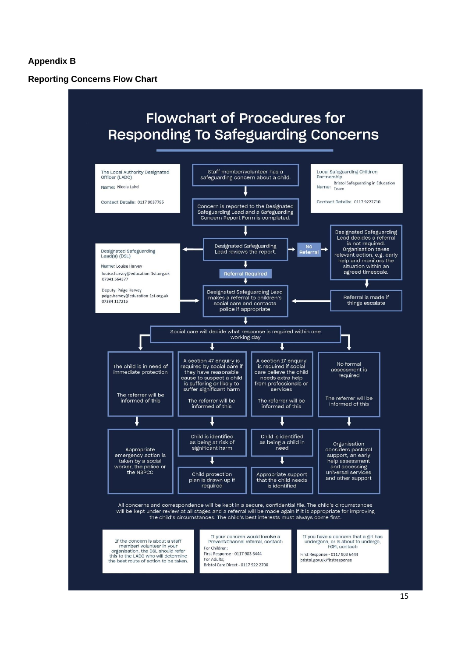#### **Appendix B**

**Reporting Concerns Flow Chart**

# **Flowchart of Procedures for Responding To Safeguarding Concerns**

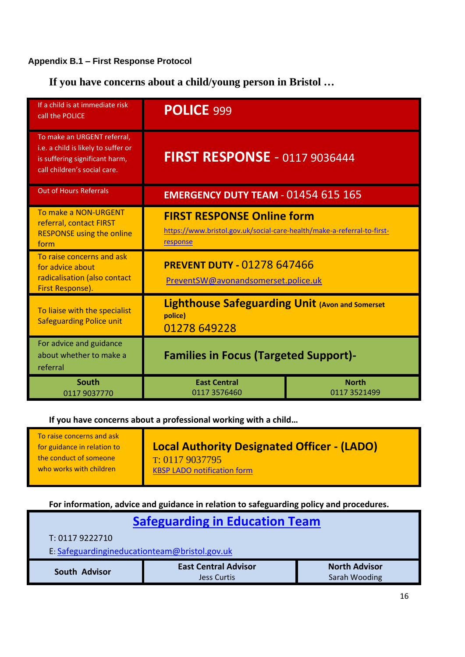# **Appendix B.1 – First Response Protocol**

**If you have concerns about a child/young person in Bristol …**

| If a child is at immediate risk<br>call the POLICE                                                                                   | POLICE 999                                                                                                               |                              |
|--------------------------------------------------------------------------------------------------------------------------------------|--------------------------------------------------------------------------------------------------------------------------|------------------------------|
| To make an URGENT referral,<br>i.e. a child is likely to suffer or<br>is suffering significant harm,<br>call children's social care. | <b>FIRST RESPONSE - 0117 9036444</b>                                                                                     |                              |
| <b>Out of Hours Referrals</b>                                                                                                        | <b>EMERGENCY DUTY TEAM - 01454 615 165</b>                                                                               |                              |
| To make a NON-URGENT<br>referral, contact FIRST<br><b>RESPONSE using the online</b><br>form                                          | <b>FIRST RESPONSE Online form</b><br>https://www.bristol.gov.uk/social-care-health/make-a-referral-to-first-<br>response |                              |
| To raise concerns and ask<br>for advice about<br>radicalisation (also contact<br>First Response).                                    | <b>PREVENT DUTY - 01278 647466</b><br>PreventSW@avonandsomerset.police.uk                                                |                              |
| To liaise with the specialist<br><b>Safeguarding Police unit</b>                                                                     | <b>Lighthouse Safeguarding Unit (Avon and Somerset</b><br>police)<br>01278 649228                                        |                              |
| For advice and guidance<br>about whether to make a<br>referral                                                                       | <b>Families in Focus (Targeted Support)-</b>                                                                             |                              |
| <b>South</b><br>0117 9037770                                                                                                         | <b>East Central</b><br>0117 3576460                                                                                      | <b>North</b><br>0117 3521499 |

**If you have concerns about a professional working with a child…**

**For information, advice and guidance in relation to safeguarding policy and procedures.**

| <b>Safeguarding in Education Team</b>         |                             |                      |
|-----------------------------------------------|-----------------------------|----------------------|
| T: 0117 9222710                               |                             |                      |
| E: Safeguardingineducationteam@bristol.gov.uk |                             |                      |
| South Advisor                                 | <b>East Central Advisor</b> | <b>North Advisor</b> |
|                                               | <b>Jess Curtis</b>          | Sarah Wooding        |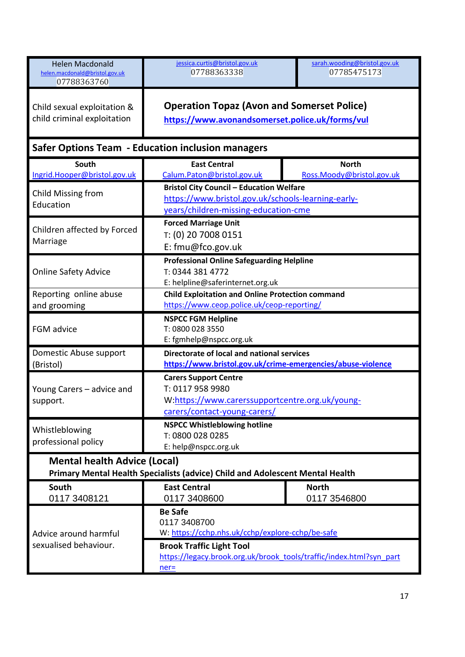| <b>Helen Macdonald</b><br>helen.macdonald@bristol.gov.uk<br>07788363760                                              | jessica.curtis@bristol.gov.uk<br>07788363338                                                                                                  | sarah.wooding@bristol.gov.uk<br>07785475173 |  |
|----------------------------------------------------------------------------------------------------------------------|-----------------------------------------------------------------------------------------------------------------------------------------------|---------------------------------------------|--|
| Child sexual exploitation &<br>child criminal exploitation                                                           | <b>Operation Topaz (Avon and Somerset Police)</b><br>https://www.avonandsomerset.police.uk/forms/vul                                          |                                             |  |
|                                                                                                                      | <b>Safer Options Team - Education inclusion managers</b>                                                                                      |                                             |  |
| South<br>Ingrid.Hooper@bristol.gov.uk                                                                                | <b>East Central</b><br>Calum.Paton@bristol.gov.uk                                                                                             | <b>North</b><br>Ross.Moody@bristol.gov.uk   |  |
| Child Missing from<br>Education                                                                                      | <b>Bristol City Council - Education Welfare</b><br>https://www.bristol.gov.uk/schools-learning-early-<br>years/children-missing-education-cme |                                             |  |
| Children affected by Forced<br>Marriage                                                                              | <b>Forced Marriage Unit</b><br>T: (0) 20 7008 0151<br>E: fmu@fco.gov.uk                                                                       |                                             |  |
| <b>Online Safety Advice</b>                                                                                          | <b>Professional Online Safeguarding Helpline</b><br>T: 0344 381 4772<br>E: helpline@saferinternet.org.uk                                      |                                             |  |
| Reporting online abuse<br>and grooming                                                                               | <b>Child Exploitation and Online Protection command</b><br>https://www.ceop.police.uk/ceop-reporting/                                         |                                             |  |
| FGM advice                                                                                                           | <b>NSPCC FGM Helpline</b><br>T: 0800 028 3550<br>E: fgmhelp@nspcc.org.uk                                                                      |                                             |  |
| Domestic Abuse support<br>(Bristol)                                                                                  | Directorate of local and national services<br>https://www.bristol.gov.uk/crime-emergencies/abuse-violence                                     |                                             |  |
| Young Carers - advice and<br>support.                                                                                | <b>Carers Support Centre</b><br>T: 0117 958 9980<br>W:https://www.carerssupportcentre.org.uk/young-<br>carers/contact-young-carers/           |                                             |  |
| Whistleblowing<br>professional policy                                                                                | <b>NSPCC Whistleblowing hotline</b><br>T: 0800 028 0285<br>E: help@nspcc.org.uk                                                               |                                             |  |
| <b>Mental health Advice (Local)</b><br>Primary Mental Health Specialists (advice) Child and Adolescent Mental Health |                                                                                                                                               |                                             |  |
| South<br>0117 3408121                                                                                                | <b>East Central</b><br>0117 3408600                                                                                                           | <b>North</b><br>0117 3546800                |  |
| Advice around harmful<br>sexualised behaviour.                                                                       | <b>Be Safe</b><br>0117 3408700<br>W: https://cchp.nhs.uk/cchp/explore-cchp/be-safe<br><b>Brook Traffic Light Tool</b>                         |                                             |  |
|                                                                                                                      | https://legacy.brook.org.uk/brook_tools/traffic/index.html?syn_part<br>$ner =$                                                                |                                             |  |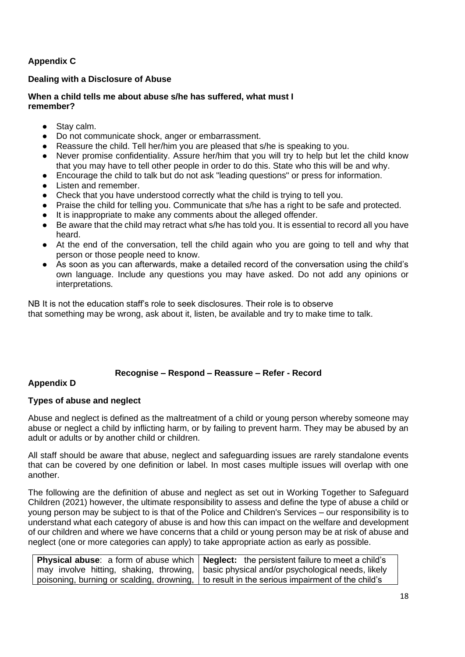## **Appendix C**

## **Dealing with a Disclosure of Abuse**

#### **When a child tells me about abuse s/he has suffered, what must I remember?**

- Stay calm.
- Do not communicate shock, anger or embarrassment.
- Reassure the child. Tell her/him you are pleased that s/he is speaking to you.
- Never promise confidentiality. Assure her/him that you will try to help but let the child know that you may have to tell other people in order to do this. State who this will be and why.
- Encourage the child to talk but do not ask "leading questions" or press for information.
- Listen and remember.
- Check that you have understood correctly what the child is trying to tell you.
- Praise the child for telling you. Communicate that s/he has a right to be safe and protected.
- It is inappropriate to make any comments about the alleged offender.
- Be aware that the child may retract what s/he has told you. It is essential to record all you have heard.
- At the end of the conversation, tell the child again who you are going to tell and why that person or those people need to know.
- As soon as you can afterwards, make a detailed record of the conversation using the child's own language. Include any questions you may have asked. Do not add any opinions or interpretations.

NB It is not the education staff's role to seek disclosures. Their role is to observe that something may be wrong, ask about it, listen, be available and try to make time to talk.

#### **Recognise – Respond – Reassure – Refer - Record**

#### **Appendix D**

## **Types of abuse and neglect**

Abuse and neglect is defined as the maltreatment of a child or young person whereby someone may abuse or neglect a child by inflicting harm, or by failing to prevent harm. They may be abused by an adult or adults or by another child or children.

All staff should be aware that abuse, neglect and safeguarding issues are rarely standalone events that can be covered by one definition or label. In most cases multiple issues will overlap with one another.

The following are the definition of abuse and neglect as set out in Working Together to Safeguard Children (2021) however, the ultimate responsibility to assess and define the type of abuse a child or young person may be subject to is that of the Police and Children's Services – our responsibility is to understand what each category of abuse is and how this can impact on the welfare and development of our children and where we have concerns that a child or young person may be at risk of abuse and neglect (one or more categories can apply) to take appropriate action as early as possible.

| <b>Physical abuse</b> : a form of abuse which $\vert$ <b>Neglect:</b> the persistent failure to meet a child's |
|----------------------------------------------------------------------------------------------------------------|
| may involve hitting, shaking, throwing,   basic physical and/or psychological needs, likely http://            |
| ' poisoning, burning or scalding, drowning,   to result in the serious impairment of the child's               |